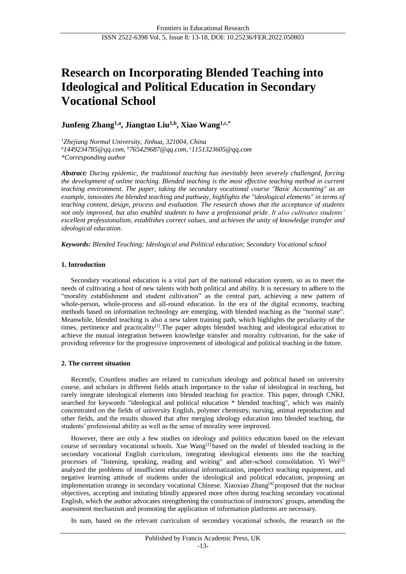# **Research on Incorporating Blended Teaching into Ideological and Political Education in Secondary Vocational School**

**Junfeng Zhang1,a , Jiangtao Liu1,b , Xiao Wang1,c,\***

*<sup>1</sup>Zhejiang Normal University, Jinhua, 321004, China*

*<sup>a</sup>1449234785@qq.com, <sup>b</sup>765429687@qq.com, <sup>c</sup>1151323605@qq.com \*Corresponding author*

*Abstract: During epidemic, the traditional teaching has inevitably been severely challenged, forcing the development of online teaching. Blended teaching is the most effective teaching method in current teaching environment. The paper, taking the secondary vocational course "Basic Accounting" as an example, innovates the blended teaching and pathway, highlights the "ideological elements" in terms of teaching content, design, process and evaluation. The research shows that the acceptance of students not only improved, but also enabled students to have a professional pride. It also cultivates students' excellent professionalism, establishes correct values, and achieves the unity of knowledge transfer and ideological education.*

*Keywords: Blended Teaching; Ideological and Political education; Secondary Vocational school*

# **1. Introduction**

Secondary vocational education is a vital part of the national education system, so as to meet the needs of cultivating a host of new talents with both political and ability. It is necessary to adhere to the "morality establishment and student cultivation" as the central part, achieving a new pattern of whole-person, whole-process and all-round education. In the era of the digital economy, teaching methods based on information technology are emerging, with blended teaching as the "normal state". Meanwhile, blended teaching is also a new talent training path, which highlights the peculiarity of the times, pertinence and practicality<sup>[1]</sup>. The paper adopts blended teaching and ideological education to achieve the mutual integration between knowledge transfer and morality cultivation, for the sake of providing reference for the progressive improvement of ideological and political teaching in the future.

# **2. The current situation**

Recently, Countless studies are related to curriculum ideology and political based on university course, and scholars in different fields attach importance to the value of ideological in teaching, but rarely integrate ideological elements into blended teaching for practice. This paper, through CNKI, searched for keywords "ideological and political education \* blended teaching", which was mainly concentrated on the fields of university English, polymer chemistry, nursing, animal reproduction and other fields, and the results showed that after merging ideology education into blended teaching, the students' professional ability as well as the sense of morality were improved.

However, there are only a few studies on ideology and politics education based on the relevant course of secondary vocational schools. Xue Wang<sup>[2]</sup> based on the model of blended teaching in the secondary vocational English curriculum, integrating ideological elements into the the teaching processes of "listening, speaking, reading and writing" and after-school consolidation. Yi Wei<sup>[3]</sup> analyzed the problems of insufficient educational informatization, imperfect teaching equipment, and negative learning attitude of students under the ideological and political education, proposing an implementation strategy in secondary vocational Chinese. Xiaoxiao Zhang<sup>[4]</sup> proposed that the nuclear objectives, accepting and imitating blindly appeared more often during teaching secondary vocational English, which the author advocates strengthening the construction of instructors' groups, amending the assessment mechanism and promoting the application of information platforms are necessary.

In sum, based on the relevant curriculum of secondary vocational schools, the research on the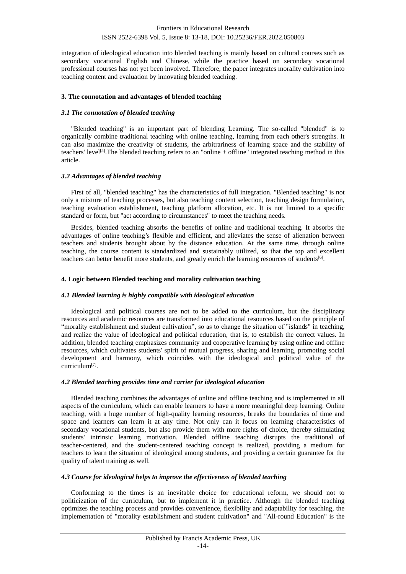integration of ideological education into blended teaching is mainly based on cultural courses such as secondary vocational English and Chinese, while the practice based on secondary vocational professional courses has not yet been involved. Therefore, the paper integrates morality cultivation into teaching content and evaluation by innovating blended teaching.

# **3. The connotation and advantages of blended teaching**

## *3.1 The connotation of blended teaching*

"Blended teaching" is an important part of blending Learning. The so-called "blended" is to organically combine traditional teaching with online teaching, learning from each other's strengths. It can also maximize the creativity of students, the arbitrariness of learning space and the stability of teachers' level[5].The blended teaching refers to an "online + offline" integrated teaching method in this article.

## *3.2 Advantages of blended teaching*

First of all, "blended teaching" has the characteristics of full integration. "Blended teaching" is not only a mixture of teaching processes, but also teaching content selection, teaching design formulation, teaching evaluation establishment, teaching platform allocation, etc. It is not limited to a specific standard or form, but "act according to circumstances" to meet the teaching needs.

Besides, blended teaching absorbs the benefits of online and traditional teaching. It absorbs the advantages of online teaching's flexible and efficient, and alleviates the sense of alienation between teachers and students brought about by the distance education. At the same time, through online teaching, the course content is standardized and sustainably utilized, so that the top and excellent teachers can better benefit more students, and greatly enrich the learning resources of students<sup>[6]</sup>.

## **4. Logic between Blended teaching and morality cultivation teaching**

#### *4.1 Blended learning is highly compatible with ideological education*

Ideological and political courses are not to be added to the curriculum, but the disciplinary resources and academic resources are transformed into educational resources based on the principle of "morality establishment and student cultivation", so as to change the situation of "islands" in teaching, and realize the value of ideological and political education, that is, to establish the correct values. In addition, blended teaching emphasizes community and cooperative learning by using online and offline resources, which cultivates students' spirit of mutual progress, sharing and learning, promoting social development and harmony, which coincides with the ideological and political value of the curriculum<sup>[7]</sup>.

# *4.2 Blended teaching provides time and carrier for ideological education*

Blended teaching combines the advantages of online and offline teaching and is implemented in all aspects of the curriculum, which can enable learners to have a more meaningful deep learning. Online teaching, with a huge number of high-quality learning resources, breaks the boundaries of time and space and learners can learn it at any time. Not only can it focus on learning characteristics of secondary vocational students, but also provide them with more rights of choice, thereby stimulating students' intrinsic learning motivation. Blended offline teaching disrupts the traditional of teacher-centered, and the student-centered teaching concept is realized, providing a medium for teachers to learn the situation of ideological among students, and providing a certain guarantee for the quality of talent training as well.

# *4.3 Course for ideological helps to improve the effectiveness of blended teaching*

Conforming to the times is an inevitable choice for educational reform, we should not to politicization of the curriculum, but to implement it in practice. Although the blended teaching optimizes the teaching process and provides convenience, flexibility and adaptability for teaching, the implementation of "morality establishment and student cultivation" and "All-round Education" is the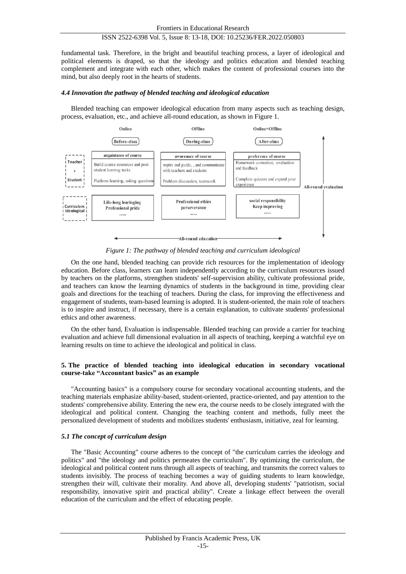fundamental task. Therefore, in the bright and beautiful teaching process, a layer of ideological and political elements is draped, so that the ideology and politics education and blended teaching complement and integrate with each other, which makes the content of professional courses into the mind, but also deeply root in the hearts of students.

#### *4.4 Innovation the pathway of blended teaching and ideological education*

Blended teaching can empower ideological education from many aspects such as teaching design, process, evaluation, etc., and achieve all-round education, as shown in Figure 1.



*Figure 1: The pathway of blended teaching and curriculum ideological*

On the one hand, blended teaching can provide rich resources for the implementation of ideology education. Before class, learners can learn independently according to the curriculum resources issued by teachers on the platforms, strengthen students' self-supervision ability, cultivate professional pride, and teachers can know the learning dynamics of students in the background in time, providing clear goals and directions for the teaching of teachers. During the class, for improving the effectiveness and engagement of students, team-based learning is adopted. It is student-oriented, the main role of teachers is to inspire and instruct, if necessary, there is a certain explanation, to cultivate students' professional ethics and other awareness.

On the other hand, Evaluation is indispensable. Blended teaching can provide a carrier for teaching evaluation and achieve full dimensional evaluation in all aspects of teaching, keeping a watchful eye on learning results on time to achieve the ideological and political in class.

## **5. The practice of blended teaching into ideological education in secondary vocational course-take "Accountant basics" as an example**

"Accounting basics" is a compulsory course for secondary vocational accounting students, and the teaching materials emphasize ability-based, student-oriented, practice-oriented, and pay attention to the students' comprehensive ability. Entering the new era, the course needs to be closely integrated with the ideological and political content. Changing the teaching content and methods, fully meet the personalized development of students and mobilizes students' enthusiasm, initiative, zeal for learning.

## *5.1 The concept of curriculum design*

The "Basic Accounting" course adheres to the concept of "the curriculum carries the ideology and politics" and "the ideology and politics permeates the curriculum". By optimizing the curriculum, the ideological and political content runs through all aspects of teaching, and transmits the correct values to students invisibly. The process of teaching becomes a way of guiding students to learn knowledge, strengthen their will, cultivate their morality. And above all, developing students' "patriotism, social responsibility, innovative spirit and practical ability". Create a linkage effect between the overall education of the curriculum and the effect of educating people.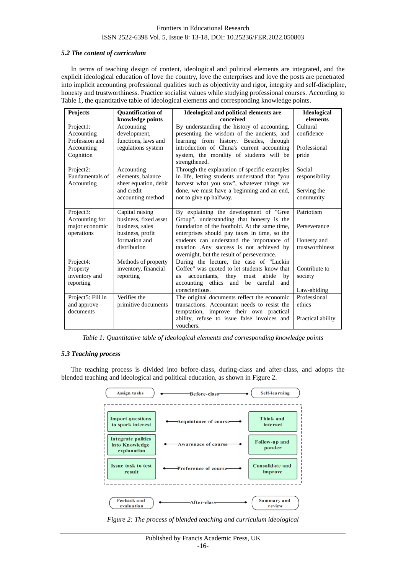## *5.2 The content of curriculum*

In terms of teaching design of content, ideological and political elements are integrated, and the explicit ideological education of love the country, love the enterprises and love the posts are penetrated into implicit accounting professional qualities such as objectivity and rigor, integrity and self-discipline, honesty and trustworthiness. Practice socialist values while studying professional courses. According to Table 1, the quantitative table of ideological elements and corresponding knowledge points.

| Projects                                                             | <b>Quantification of</b><br>knowledge points                                                                     | Ideological and political elements are<br>conceived                                                                                                                                                                                                                                                                         | Ideological<br>elements                                      |
|----------------------------------------------------------------------|------------------------------------------------------------------------------------------------------------------|-----------------------------------------------------------------------------------------------------------------------------------------------------------------------------------------------------------------------------------------------------------------------------------------------------------------------------|--------------------------------------------------------------|
| Project1:<br>Accounting<br>Profession and<br>Accounting<br>Cognition | Accounting<br>development,<br>functions, laws and<br>regulations system                                          | By understanding the history of accounting,<br>presenting the wisdom of the ancients, and<br>learning from history. Besides, through<br>introduction of China's current accounting<br>system, the morality of students will be<br>strengthened.                                                                             | Cultural<br>confidence<br>Professional<br>pride              |
| Project2:<br>Fundamentals of<br>Accounting                           | Accounting<br>elements, balance<br>sheet equation, debit<br>and credit<br>accounting method                      | Through the explanation of specific examples<br>in life, letting students understand that "you<br>harvest what you sow", whatever things we<br>done, we must have a beginning and an end,<br>not to give up halfway.                                                                                                        | Social<br>responsibility<br>Serving the<br>community         |
| Project3:<br>Accounting for<br>major economic<br>operations          | Capital raising<br>business, fixed asset<br>business, sales<br>business, profit<br>formation and<br>distribution | By explaining the development of "Gree<br>Group", understanding that honesty is the<br>foundation of the foothold. At the same time,<br>enterprises should pay taxes in time, so the<br>students can understand the importance of<br>taxation .Any success is not achieved by<br>overnight, but the result of perseverance. | Patriotism<br>Perseverance<br>Honesty and<br>trustworthiness |
| Project4:<br>Property<br>inventory and<br>reporting                  | Methods of property<br>inventory, financial<br>reporting                                                         | During the lecture, the case of "Luckin<br>Coffee" was quoted to let students know that<br>accountants,<br>they must<br>abide<br>by<br><b>as</b><br>accounting ethics and be careful<br>and<br>conscientious.                                                                                                               | Contribute to<br>society<br>Law-abiding                      |
| Project5: Fill in<br>and approve<br>documents                        | Verifies the<br>primitive documents                                                                              | The original documents reflect the economic<br>transactions. Accountant needs to resist the<br>temptation, improve their own practical<br>ability, refuse to issue false invoices and<br>vouchers.                                                                                                                          | Professional<br>ethics<br>Practical ability                  |

*Table 1: Quantitative table of ideological elements and corresponding knowledge points*

# *5.3 Teaching process*

The teaching process is divided into before-class, during-class and after-class, and adopts the blended teaching and ideological and political education, as shown in Figure 2.



*Figure 2: The process of blended teaching and curriculum ideological*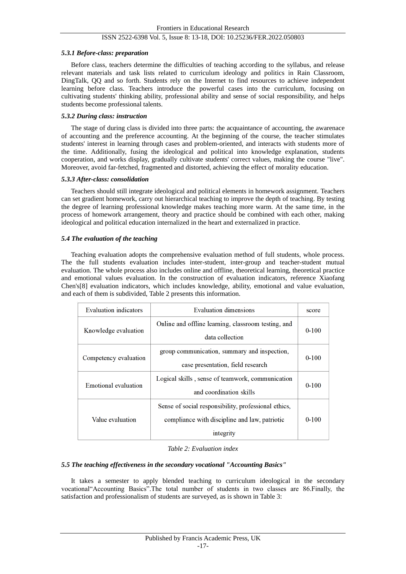## *5.3.1 Before-class: preparation*

Before class, teachers determine the difficulties of teaching according to the syllabus, and release relevant materials and task lists related to curriculum ideology and politics in Rain Classroom, DingTalk, QQ and so forth. Students rely on the Internet to find resources to achieve independent learning before class. Teachers introduce the powerful cases into the curriculum, focusing on cultivating students' thinking ability, professional ability and sense of social responsibility, and helps students become professional talents.

## *5.3.2 During class: instruction*

The stage of during class is divided into three parts: the acquaintance of accounting, the awarenace of accounting and the preference accounting. At the beginning of the course, the teacher stimulates students' interest in learning through cases and problem-oriented, and interacts with students more of the time. Additionally, fusing the ideological and political into knowledge explanation, students cooperation, and works display, gradually cultivate students' correct values, making the course "live". Moreover, avoid far-fetched, fragmented and distorted, achieving the effect of morality education.

## *5.3.3 After-class: consolidation*

Teachers should still integrate ideological and political elements in homework assignment. Teachers can set gradient homework, carry out hierarchical teaching to improve the depth of teaching. By testing the degree of learning professional knowledge makes teaching more warm. At the same time, in the process of homework arrangement, theory and practice should be combined with each other, making ideological and political education internalized in the heart and externalized in practice.

## *5.4 The evaluation of the teaching*

Teaching evaluation adopts the comprehensive evaluation method of full students, whole process. The the full students evaluation includes inter-student, inter-group and teacher-student mutual evaluation. The whole process also includes online and offline, theoretical learning, theoretical practice and emotional values evaluation. In the construction of evaluation indicators, reference Xiaofang Chen's[8] evaluation indicators, which includes knowledge, ability, emotional and value evaluation, and each of them is subdivided, Table 2 presents this information.

| <b>Evaluation</b> indicators | <b>Evaluation dimensions</b>                                                                                       | score     |
|------------------------------|--------------------------------------------------------------------------------------------------------------------|-----------|
| Knowledge evaluation         | Online and offline learning, classroom testing, and<br>data collection                                             | $0 - 100$ |
| Competency evaluation        | group communication, summary and inspection,<br>case presentation, field research                                  | $0 - 100$ |
| Emotional evaluation         | Logical skills, sense of teamwork, communication<br>and coordination skills                                        | $0 - 100$ |
| Value evaluation             | Sense of social responsibility, professional ethics,<br>compliance with discipline and law, patriotic<br>integrity | $0 - 100$ |

# *Table 2: Evaluation index*

# *5.5 The teaching effectiveness in the secondary vocational "Accounting Basics"*

It takes a semester to apply blended teaching to curriculum ideological in the secondary vocational"Accounting Basics".The total number of students in two classes are 86.Finally, the satisfaction and professionalism of students are surveyed, as is shown in Table 3: